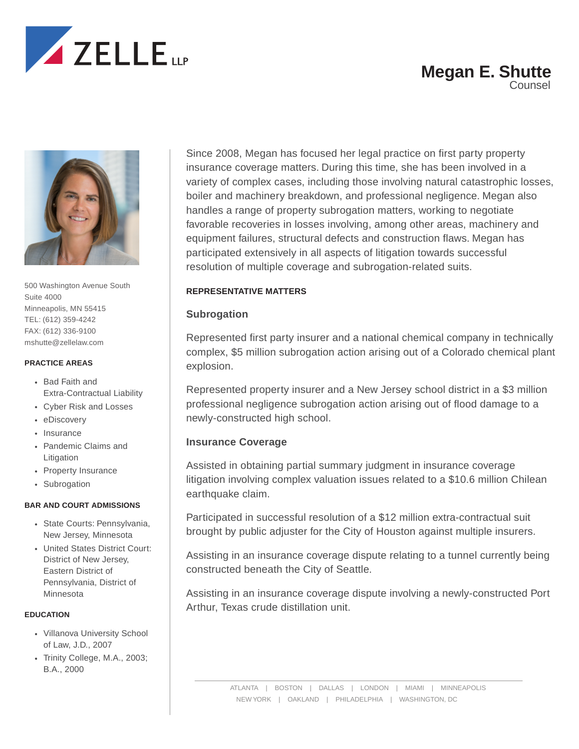

## **Megan E. Shutte** Counsel



500 Washington Avenue South Suite 4000 Minneapolis, MN 55415 TEL: (612) 359-4242 FAX: (612) 336-9100 mshutte@zellelaw.com

#### **PRACTICE AREAS**

- Bad Faith and Extra-Contractual Liability
- Cyber Risk and Losses
- eDiscovery
- Insurance
- Pandemic Claims and Litigation
- Property Insurance
- Subrogation

#### **BAR AND COURT ADMISSIONS**

- State Courts: Pennsylvania, New Jersey, Minnesota
- United States District Court: District of New Jersey, Eastern District of Pennsylvania, District of Minnesota

#### **EDUCATION**

- Villanova University School of Law, J.D., 2007
- Trinity College, M.A., 2003; B.A., 2000

Since 2008, Megan has focused her legal practice on first party property insurance coverage matters. During this time, she has been involved in a variety of complex cases, including those involving natural catastrophic losses, boiler and machinery breakdown, and professional negligence. Megan also handles a range of property subrogation matters, working to negotiate favorable recoveries in losses involving, among other areas, machinery and equipment failures, structural defects and construction flaws. Megan has participated extensively in all aspects of litigation towards successful resolution of multiple coverage and subrogation-related suits.

## **REPRESENTATIVE MATTERS**

## **Subrogation**

Represented first party insurer and a national chemical company in technically complex, \$5 million subrogation action arising out of a Colorado chemical plant explosion.

Represented property insurer and a New Jersey school district in a \$3 million professional negligence subrogation action arising out of flood damage to a newly-constructed high school.

## **Insurance Coverage**

Assisted in obtaining partial summary judgment in insurance coverage litigation involving complex valuation issues related to a \$10.6 million Chilean earthquake claim.

Participated in successful resolution of a \$12 million extra-contractual suit brought by public adjuster for the City of Houston against multiple insurers.

Assisting in an insurance coverage dispute relating to a tunnel currently being constructed beneath the City of Seattle.

Assisting in an insurance coverage dispute involving a newly-constructed Port Arthur, Texas crude distillation unit.